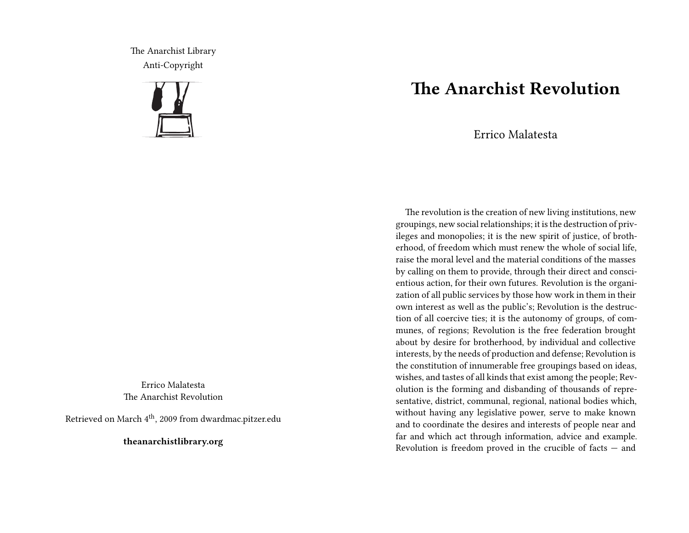The Anarchist Library Anti-Copyright



Errico Malatesta The Anarchist Revolution

Retrieved on March 4<sup>th</sup>, 2009 from dwardmac.pitzer.edu

**theanarchistlibrary.org**

## **The Anarchist Revolution**

Errico Malatesta

The revolution is the creation of new living institutions, new groupings, new social relationships; it is the destruction of privileges and monopolies; it is the new spirit of justice, of brotherhood, of freedom which must renew the whole of social life, raise the moral level and the material conditions of the masses by calling on them to provide, through their direct and conscientious action, for their own futures. Revolution is the organization of all public services by those how work in them in their own interest as well as the public's; Revolution is the destruction of all coercive ties; it is the autonomy of groups, of communes, of regions; Revolution is the free federation brought about by desire for brotherhood, by individual and collective interests, by the needs of production and defense; Revolution is the constitution of innumerable free groupings based on ideas, wishes, and tastes of all kinds that exist among the people; Revolution is the forming and disbanding of thousands of representative, district, communal, regional, national bodies which, without having any legislative power, serve to make known and to coordinate the desires and interests of people near and far and which act through information, advice and example. Revolution is freedom proved in the crucible of facts — and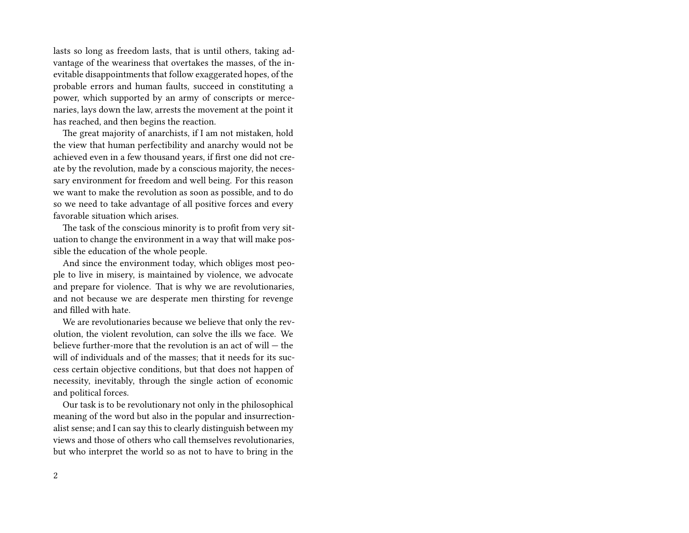lasts so long as freedom lasts, that is until others, taking advantage of the weariness that overtakes the masses, of the inevitable disappointments that follow exaggerated hopes, of the probable errors and human faults, succeed in constituting a power, which supported by an army of conscripts or mercenaries, lays down the law, arrests the movement at the point it has reached, and then begins the reaction.

The great majority of anarchists, if I am not mistaken, hold the view that human perfectibility and anarchy would not be achieved even in a few thousand years, if first one did not create by the revolution, made by a conscious majority, the necessary environment for freedom and well being. For this reason we want to make the revolution as soon as possible, and to do so we need to take advantage of all positive forces and every favorable situation which arises.

The task of the conscious minority is to profit from very situation to change the environment in a way that will make possible the education of the whole people.

And since the environment today, which obliges most people to live in misery, is maintained by violence, we advocate and prepare for violence. That is why we are revolutionaries, and not because we are desperate men thirsting for revenge and filled with hate.

We are revolutionaries because we believe that only the revolution, the violent revolution, can solve the ills we face. We believe further-more that the revolution is an act of will — the will of individuals and of the masses; that it needs for its success certain objective conditions, but that does not happen of necessity, inevitably, through the single action of economic and political forces.

Our task is to be revolutionary not only in the philosophical meaning of the word but also in the popular and insurrectionalist sense; and I can say this to clearly distinguish between my views and those of others who call themselves revolutionaries, but who interpret the world so as not to have to bring in the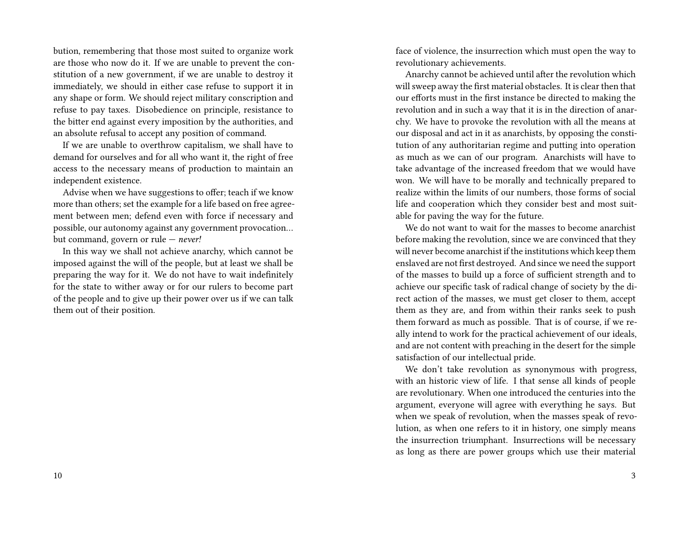bution, remembering that those most suited to organize work are those who now do it. If we are unable to prevent the constitution of a new government, if we are unable to destroy it immediately, we should in either case refuse to support it in any shape or form. We should reject military conscription and refuse to pay taxes. Disobedience on principle, resistance to the bitter end against every imposition by the authorities, and an absolute refusal to accept any position of command.

If we are unable to overthrow capitalism, we shall have to demand for ourselves and for all who want it, the right of free access to the necessary means of production to maintain an independent existence.

Advise when we have suggestions to offer; teach if we know more than others; set the example for a life based on free agreement between men; defend even with force if necessary and possible, our autonomy against any government provocation… but command, govern or rule — *never!*

In this way we shall not achieve anarchy, which cannot be imposed against the will of the people, but at least we shall be preparing the way for it. We do not have to wait indefinitely for the state to wither away or for our rulers to become part of the people and to give up their power over us if we can talk them out of their position.

face of violence, the insurrection which must open the way to revolutionary achievements.

Anarchy cannot be achieved until after the revolution which will sweep away the first material obstacles. It is clear then that our efforts must in the first instance be directed to making the revolution and in such a way that it is in the direction of anarchy. We have to provoke the revolution with all the means at our disposal and act in it as anarchists, by opposing the constitution of any authoritarian regime and putting into operation as much as we can of our program. Anarchists will have to take advantage of the increased freedom that we would have won. We will have to be morally and technically prepared to realize within the limits of our numbers, those forms of social life and cooperation which they consider best and most suitable for paving the way for the future.

We do not want to wait for the masses to become anarchist before making the revolution, since we are convinced that they will never become anarchist if the institutions which keep them enslaved are not first destroyed. And since we need the support of the masses to build up a force of sufficient strength and to achieve our specific task of radical change of society by the direct action of the masses, we must get closer to them, accept them as they are, and from within their ranks seek to push them forward as much as possible. That is of course, if we really intend to work for the practical achievement of our ideals, and are not content with preaching in the desert for the simple satisfaction of our intellectual pride.

We don't take revolution as synonymous with progress, with an historic view of life. I that sense all kinds of people are revolutionary. When one introduced the centuries into the argument, everyone will agree with everything he says. But when we speak of revolution, when the masses speak of revolution, as when one refers to it in history, one simply means the insurrection triumphant. Insurrections will be necessary as long as there are power groups which use their material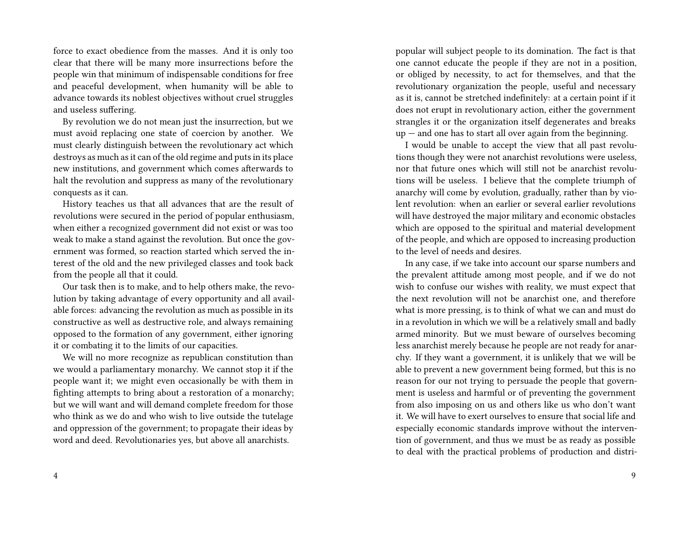force to exact obedience from the masses. And it is only too clear that there will be many more insurrections before the people win that minimum of indispensable conditions for free and peaceful development, when humanity will be able to advance towards its noblest objectives without cruel struggles and useless suffering.

By revolution we do not mean just the insurrection, but we must avoid replacing one state of coercion by another. We must clearly distinguish between the revolutionary act which destroys as much as it can of the old regime and puts in its place new institutions, and government which comes afterwards to halt the revolution and suppress as many of the revolutionary conquests as it can.

History teaches us that all advances that are the result of revolutions were secured in the period of popular enthusiasm, when either a recognized government did not exist or was too weak to make a stand against the revolution. But once the government was formed, so reaction started which served the interest of the old and the new privileged classes and took back from the people all that it could.

Our task then is to make, and to help others make, the revolution by taking advantage of every opportunity and all available forces: advancing the revolution as much as possible in its constructive as well as destructive role, and always remaining opposed to the formation of any government, either ignoring it or combating it to the limits of our capacities.

We will no more recognize as republican constitution than we would a parliamentary monarchy. We cannot stop it if the people want it; we might even occasionally be with them in fighting attempts to bring about a restoration of a monarchy; but we will want and will demand complete freedom for those who think as we do and who wish to live outside the tutelage and oppression of the government; to propagate their ideas by word and deed. Revolutionaries yes, but above all anarchists.

popular will subject people to its domination. The fact is that one cannot educate the people if they are not in a position, or obliged by necessity, to act for themselves, and that the revolutionary organization the people, useful and necessary as it is, cannot be stretched indefinitely: at a certain point if it does not erupt in revolutionary action, either the government strangles it or the organization itself degenerates and breaks  $up$  – and one has to start all over again from the beginning.

I would be unable to accept the view that all past revolutions though they were not anarchist revolutions were useless, nor that future ones which will still not be anarchist revolutions will be useless. I believe that the complete triumph of anarchy will come by evolution, gradually, rather than by violent revolution: when an earlier or several earlier revolutions will have destroyed the major military and economic obstacles which are opposed to the spiritual and material development of the people, and which are opposed to increasing production to the level of needs and desires.

In any case, if we take into account our sparse numbers and the prevalent attitude among most people, and if we do not wish to confuse our wishes with reality, we must expect that the next revolution will not be anarchist one, and therefore what is more pressing, is to think of what we can and must do in a revolution in which we will be a relatively small and badly armed minority. But we must beware of ourselves becoming less anarchist merely because he people are not ready for anarchy. If they want a government, it is unlikely that we will be able to prevent a new government being formed, but this is no reason for our not trying to persuade the people that government is useless and harmful or of preventing the government from also imposing on us and others like us who don't want it. We will have to exert ourselves to ensure that social life and especially economic standards improve without the intervention of government, and thus we must be as ready as possible to deal with the practical problems of production and distri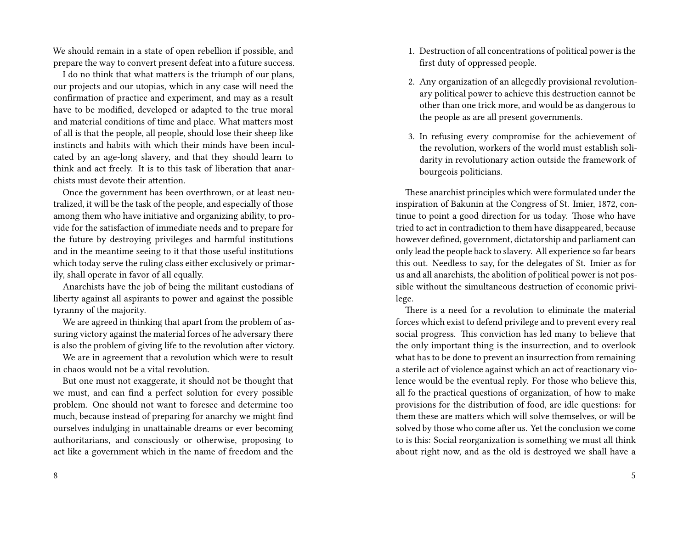We should remain in a state of open rebellion if possible, and prepare the way to convert present defeat into a future success.

I do no think that what matters is the triumph of our plans, our projects and our utopias, which in any case will need the confirmation of practice and experiment, and may as a result have to be modified, developed or adapted to the true moral and material conditions of time and place. What matters most of all is that the people, all people, should lose their sheep like instincts and habits with which their minds have been inculcated by an age-long slavery, and that they should learn to think and act freely. It is to this task of liberation that anarchists must devote their attention.

Once the government has been overthrown, or at least neutralized, it will be the task of the people, and especially of those among them who have initiative and organizing ability, to provide for the satisfaction of immediate needs and to prepare for the future by destroying privileges and harmful institutions and in the meantime seeing to it that those useful institutions which today serve the ruling class either exclusively or primarily, shall operate in favor of all equally.

Anarchists have the job of being the militant custodians of liberty against all aspirants to power and against the possible tyranny of the majority.

We are agreed in thinking that apart from the problem of assuring victory against the material forces of he adversary there is also the problem of giving life to the revolution after victory.

We are in agreement that a revolution which were to result in chaos would not be a vital revolution.

But one must not exaggerate, it should not be thought that we must, and can find a perfect solution for every possible problem. One should not want to foresee and determine too much, because instead of preparing for anarchy we might find ourselves indulging in unattainable dreams or ever becoming authoritarians, and consciously or otherwise, proposing to act like a government which in the name of freedom and the

- 1. Destruction of all concentrations of political power is the first duty of oppressed people.
- 2. Any organization of an allegedly provisional revolutionary political power to achieve this destruction cannot be other than one trick more, and would be as dangerous to the people as are all present governments.
- 3. In refusing every compromise for the achievement of the revolution, workers of the world must establish solidarity in revolutionary action outside the framework of bourgeois politicians.

These anarchist principles which were formulated under the inspiration of Bakunin at the Congress of St. Imier, 1872, continue to point a good direction for us today. Those who have tried to act in contradiction to them have disappeared, because however defined, government, dictatorship and parliament can only lead the people back to slavery. All experience so far bears this out. Needless to say, for the delegates of St. Imier as for us and all anarchists, the abolition of political power is not possible without the simultaneous destruction of economic privilege.

There is a need for a revolution to eliminate the material forces which exist to defend privilege and to prevent every real social progress. This conviction has led many to believe that the only important thing is the insurrection, and to overlook what has to be done to prevent an insurrection from remaining a sterile act of violence against which an act of reactionary violence would be the eventual reply. For those who believe this, all fo the practical questions of organization, of how to make provisions for the distribution of food, are idle questions: for them these are matters which will solve themselves, or will be solved by those who come after us. Yet the conclusion we come to is this: Social reorganization is something we must all think about right now, and as the old is destroyed we shall have a